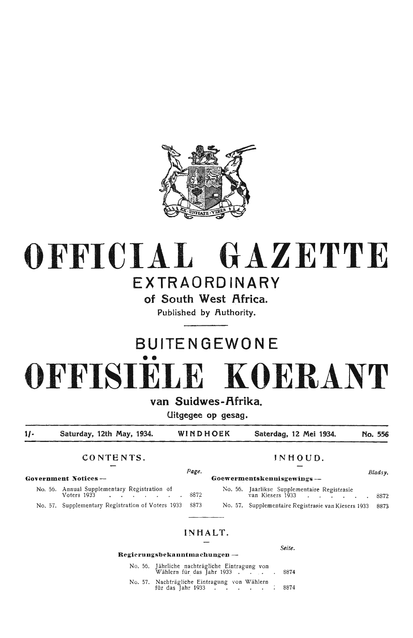

## **OFFICIAL GAZETTE EXTRAORDINARY**

**of South West Africa.** 

**Published by .Authority.** 

# **SUITE N GEWO NE**  •• **0 FFISIELE KO ER.ANT**

van Suidwes-Afrika.

**Uitgegee op gesag.** 

**1/- Saturday, 12th May, 1934. WINDHOEK Saterdag, 12 Mei 1934. No. 556** 

### **CONTENTS. JNHOUO.**

*Page. Bladsy.*  **Government Notices - Goewermentskennisgewings** -

No. 56. Annual Supplementary Registration of  $V$ oters 1933  $\cdot \cdot \cdot \cdot \cdot \cdot \cdot \cdot \cdot \cdot 8872$ No. 57. Supplementary Registration of Voters 1933 8873

| No. 56. Jaarlikse Supplementaire Registrasie             |  |
|----------------------------------------------------------|--|
| van Kiesers 1933 8872                                    |  |
| No. 57. Supplementaire Registrasie van Kiesers 1933 8873 |  |

### **IN HALT.**

### **Regierungsbekanntmaehungen** -

| No. 56. Jährliche nachträgliche Eintragung von<br>Wählern für das Jahr 1933 8874 |  |
|----------------------------------------------------------------------------------|--|
| No. 57. Nachträgliche Eintragung von Wählern<br>für das Jahr 1933 8874           |  |

*Seite.*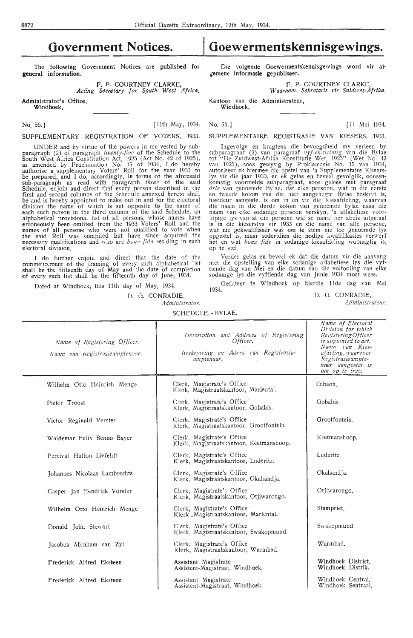The following Government Notices are published for **general information.** 

> **F. P.** COURTNEY CLARKE, *Acting Secretary for S\_quth West Africa.*

Administrator's Office,

**Windhoek,** 

No. 56.] [11th May, 1934. No. 56.] [ 11th May, 1934. [ 11 Mei 1934.

UNDER and by virtue of the powers in me vested by subparagraph (2) of paragraph *twenty-five* of the Schedule to the South West Africa Constitution Act, 1925 (Act No. 42 of 1925), as amended by Proclamation No. 15 of 1934, I do hereby authorise a supplementary Voters' Roll for the year 1933 to<br>be prepared, and I do, accordingly, in terms of the aforesaid sub-paragraph as read with paragraph *three* of the said Schedule, enjoin and direct that every person described in the first and second columns of the Schedule annexed hereto shall be and is hereby appointed to make out in and for the electoral division the name of which is set opposite to the name of each such person in the third column of the said Schedule, an alphabetical provisional list of all persons, whose names have erroneously been omitted from the 1933 Voters' Roll and the names of all persons who were not qua Expression because the said Roll persons who were not qualified to vote when<br>the said Roll was compiled but have since acquired the necessary qualifications and who are *bona fide* residing in such electoral division.

I do further enjoin and direct that the date of the commencement of the framing of every such alphabetical list<br>shall be the fifteenth day of May and the date of completion of every such list shall be the fifteenth day of June, 1934.

D. 0. CONRADIE,

*Administrator.* 

### SCHEDULE. - BYLAE.

| Name of Registering Officer.<br>Naam van Registrasieamptenaar. | Description and Address of Registering<br>Officer.<br>Beskrywing en Adres van Registrasie-<br>amptenaar. | Division for which<br>Registering Officer<br>is appointed to act.<br>Naam van Kies-<br>afdeling, waarvoor<br>Registrasieampte-<br>naar aangestel is<br>om op te tree. |
|----------------------------------------------------------------|----------------------------------------------------------------------------------------------------------|-----------------------------------------------------------------------------------------------------------------------------------------------------------------------|
| Wilhelm Otto Heinrich Menge                                    | Clerk, Magistrate's Office<br>Klerk, Magistraatskantoor, Mariental.                                      | Gibeon.                                                                                                                                                               |
| Pieter Troost                                                  | Clerk, Magistrate's Office<br>Klerk, Magistraatskantoor, Gobabis.                                        | Gobabis.                                                                                                                                                              |
| Victor Reginald Verster                                        | Clerk. Magistrate's Office<br>Klerk, Magistraatskantoor, Grootfontein.                                   | Grootfontein.                                                                                                                                                         |
| Waldemar Felix Benno Bayer                                     | Clerk, Magistrate's Office<br>Klerk, Magistraatskantoor, Keetmanshoop,                                   | Keetmanshoop.                                                                                                                                                         |
| Percival Hatton Liefeldt                                       | Clerk, Magistrate's Office<br>Klerk, Magistraatskantoor, Luderitz.                                       | Luderitz                                                                                                                                                              |
| Johannes Nicolaas Lambrechts                                   | Clerk, Magistrate's Office<br>Klerk, Magistraatskantoor, Okahandja.                                      | Okahandja.                                                                                                                                                            |
| Casper Jan Hendrick Vorster                                    | Clerk, Magistrate's Office<br>Klerk, Magistraatskantoor, Otjiwarongo.                                    | Otjiwarongo.                                                                                                                                                          |
| Wilhelm Otto Heinrich Menge                                    | Clerk, Magistrate's Office'<br>Klerk Magistraatskantoor, Mariental.                                      | Stampriet.                                                                                                                                                            |
| Donald John Stewart                                            | Clerk, Magistrate's Office<br>Klerk, Magistraatskantoor, Swakopmund.                                     | Swakopmund.                                                                                                                                                           |
| Jacobus Abraham van Zyl                                        | Clerk, Magistrate's Office<br>Klerk, Magistraatskantoor, Warmbad.                                        | Warmbad.                                                                                                                                                              |
| Frederick Alfred Eksteen                                       | Assistant Magistrate<br>Assistent-Magistraat, Windhoek.                                                  | Windhoek District.<br>Windhoek Distrik.                                                                                                                               |
| Frederick Alfred Eksteen                                       | Assistant Magistrate                                                                                     | Windhoek Central.                                                                                                                                                     |

Die **volgende Ooewermentskennisgewings word vir atgemene informasie gepubliseer.** 

**F.** P. COURTNEY CLARKE,

*W aarnem. Sekretaris vir Suidwes-Afrika.* 

**Kantoor** van **die Administrateur, Windhoek.** 

SUPPLEMENTARY REGISTRATION OF VOTERS, 1933. SUPPLEMENTAIRE REOISTRASIE VAN KIESERS, 1933.

Ingevolge en kragtens die bevoegdheid my verleen by subparagraaf (2) van paragraaf *vyf-en-twimig* van die Bylae tot "De Zuidwest-Afrika Konstitutie Wet, 1925" (Wet No. 42<br>van 1925), soos gewysig by Proklamasie No. 15 van 1934, autoriseer ek hiermee die opstel van 'n 'Supplementaire Kieserslys vir die jaar 1933, en ek gelas en beveel gevolglik, ooreenkomstig voormelde subparagraaf, soos gelees met paragraaf *drie* van genoemde Bylae, dat elke persoon, wat in die eerste<br>en tweede kolom van die hier aangehegte Bylae beskryf is, hierdeur aangestel is om in en vir die Kiesafdeling, waarvan<br>die naam in die derde kolom van genoemde bylae naas die<br>naam van elke sodanige persoon verskyn, 'n alfabetiese voor-<br>lopige lys van al die persone wie se name pe is in die kieserslys vir 1933 en die name van alle persone, wat nie gekwalifiseer was om te stem nie toe genoemde lys opgestel is, maar sedertdien die nodige kwalifikasies verwerf het en wat *bona fide* in sodanige kiesafdeling woonagtig is, op te stel.

Verder gelas en beveel ek dat die datum vir die aanvang met die •opstelling van elke sodanige alfabetiese lys die vyf• tiende dag van Mei en die datum van die voltooiing van elke<br>sodanige lys die vyftiende d**a**g van Juni**e** 1934 moet wees.

Dated at Windhoek, this 11th day of May, 1934. Gedateer te Windhoek op hierdie 11de dag van Mei 1934.

T

D. 0. CONRADIE,

*Administrateur.* 

*Name of Electoral* 

Assistent-Magistraat, Windhoek.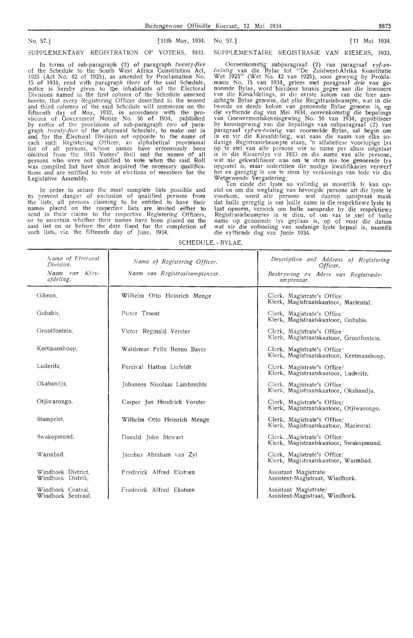No. 57.] [11th May, 1934.

SUPPLEMENTARY REGISTRATION OF VOTERS, 1933.

In terms of sub-paragraph (2) of paragraph *twenty-five*  of the Schedule to the South West Africa Constitution Act, 1925 (Act No. 42 of 1925), as amended by Proclamation No. 15 of 1934, read with paragraph *three* of the said Schedule, notice is hereby given to the inhabitants of the Electoral Divisions named in the first column of the Schedule annexed hereto, that every Registering Officer described in the second and third columns of the said Schedule will commence on the fifteenth day of May, 1932, in accordance with the provisions of Government Notice No. 56 of. 1934, published 'by notice of the provisions of sub-paragraph *two* of paragraph *fwenty-five* of the aforesaid Schedule, to make out in and for the Electoral Division set opposite to the name of each such Registering Officer, an alphabetical provisional list of all persons, whose names have erroneously been -omitted from the 1933 Voters' Roll and the names df all -persons who were not qualified to vote when the said Roll was compiled but have since acquired the necessary qualificaiions and are entitled to vote at elections of members for th:e Legislative Assembly.

In order to secure the most complete lists possible and to prevent danger of exclusion of qualified persons from the lists, all persons claiming to be entitled to have their names placed on the respective lists are invited either to send in their claims to the respective Registering Officers, or to ascertain whether their names have been placed on the said list on or before the date fixed for the completion of such lists, viz. the fifteenth day of June, 1934. SUPPLEMENTAIRE REOISTRASIE VAN KIESERS, 1933.

No. 57.] [ 11 Mei 1934.

Ooreenkomstig subparagraaf (2) van paragraaf *vyf-en*twintig van die Bylae tot "De Zuidwest-Afrika Konstitutie Wet 1925" (Wet No. 42 van 1925), soos gewysig by Proklamasie No. 15 van 1934, gelees met paragraaf *drie* van genoemde Bylae, word hierdeur kennis gegee aan die inwoners<br>van die Kiesafdelings, in die eerste kolom van die hier aan-<br>gehegte Bylae genoem, dat elke Regjstrasiebeampte, wat in die tweede en derde kolom van genoemde Bylae genoem is, op die vyftiende dag van Mei 1934, ooreenkomstig die bepalings<br>van Goewermentskennisgewing No. 56 van 1934, gepubliseer<br>by kennisgewing van die bepalings van subparagraaf (2) van<br>paragraaf *vyf-en-twintig* van voormelde Bylae op. te stel van alle persone wie se name per abuis uitgelaat is in die Kieserslys vir 1933 en die name van alle persone, wat nie gekwalifiseer was om te stem nie toe genoemde lys opgestel is, maar sedertdien die nodige kwalifikasies verwerf het en geregtig is om te stem by verkiesings van lede vir die

Wetgewende Vergadering.<br>Ten einde die lyste so volledig as moontlik te kan opstel en om die weglating van bevoegde persone uit die lyste te voorkom, word alle persone wat daarop. aanspraak maak dat hulle geregtig is om hulle name in die respektiewe lyste te laat opneem, versoek om hulle aansprake by die respektiewe Registrasiebeamptes in te dien, of om vas te stel of hulle name op genoemde lys geplaas is, op of voor die datum wat vir die voltooiing van sodanige lyste bepaal is, naamlik die vyftiende dag van Junie 1934.

SCHEDULE. - BYLAE.

| Name of Electoral<br>Division.<br>Naam van Kies-<br>afdeling. | Name of Registering Officer.<br>Naam van Registrasieamptenaar. | Description and Address of Registering<br>Officer.<br>Beskrywing en Adres van Registrasie- |
|---------------------------------------------------------------|----------------------------------------------------------------|--------------------------------------------------------------------------------------------|
|                                                               |                                                                | amptenaar.                                                                                 |
| Gibeon.                                                       | Wilhelm Otto Heinrich Menge                                    | Clerk. Magistrate's Office/<br>Klerk, Magistraatskantoor, Mariental.                       |
| Gobabis.                                                      | Pieter Troost                                                  | Clerk, Magistrate's Office.<br>Klerk, Magistraatskantoor, Gobabis.                         |
| Grootfontein                                                  | Victor Reginald Verster                                        | Clerk, Magistrate's Office/<br>Klerk, Magistraatskantoor, Grootfontein.                    |
| Keetmanshoop.                                                 | Waldemar Felix Benno Bayer                                     | Clerk, Magistrate's Office.<br>Klerk, Magistraatskantoor, Keetmanshoop.                    |
| Luderitz                                                      | Percival Hatton Liefeldt                                       | Clerk, Magistrate's Office/<br>Klerk, Magistraatskantoor, Luderitz.                        |
| Okahandja,                                                    | Johannes Nicolaas Lambrechts                                   | Clerk, Magistrate's Office/<br>Klerk, Magistraatskantoor, Okahandia.                       |
| Otjiwarongo.                                                  | Casper Jan Hendrick Vorster                                    | Clerk, Magistrate's Office/<br>Klerk, Magistraatskantoor, Otjiwarongo.                     |
| Stampriet.                                                    | Wilhelm Otto Heinrich Menge                                    | Clerk, Magistrate's Office/<br>Klerk, Magistraatskantoor, Mariental.                       |
| Swakopmund.                                                   | Donald John Stewart                                            | Clerk, Magistrate's Office/<br>Klerk, Magistraatskantoor, Swakopmund.                      |
| Warmbad.                                                      | Jacobus Abraham van Zyl                                        | Clerk, Magistrate's Office/<br>Klerk, Magistraatskantoor, Warmbad.                         |
| Windhoek District.<br>Windhoek Distrik.                       | Frederick Alfred Eksteen                                       | Assistant Magistrate<br>Assistent-Magistraat, Windhoek.                                    |
| Windhoek Central.<br>Windhoek Sentraal                        | Frederick Alfred Eksteen                                       | Assistant Magistrate/<br>Assistent-Magistraat, Windhoek.                                   |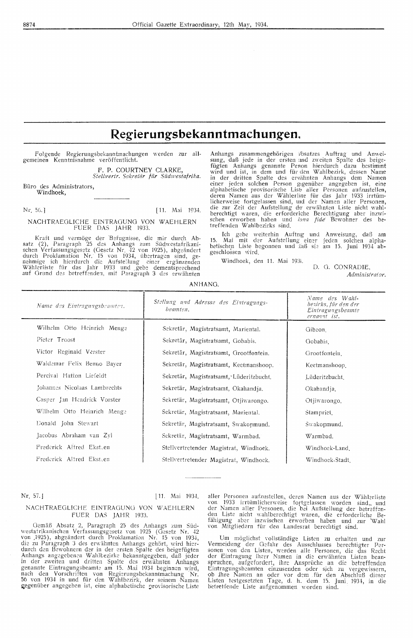### Regierungsbekanntmachungen.

Folgende Regierungsbekanntmachungen werden zur allgemeinen Kenntnisnahme veröffentlicht.

> F. P. COURTNEY CLARKE, Stellvertr. Sekretär für Südwestafrika.

Büro des Administrators, Windhoek,

Nr. 56.]

[11. Mai 1934.

### NACHTRAEGLICHE EINTRAGUNG VON WAEHLERN<br>FUER DAS JAHR 1933.

Kraft und vermöge der Befugnisse, die mir durch Absatz (2), Paragraph 25 des Anhangs zum Südwestafrikanischen Verfassungsgesetz (Gesetz Nr. 42 von 1925), abgeändert durch Proklamation Nr. 15 von 1934, übertragen sind, gene

Anhangs zusammengehörigen \bsatzes Auftrag und Anwei-Anhangs zusammengehörigen  $\mathcal{P}$ bsatzes Auffrag und Anweisung, daß jede in der ersten und zweiten Spalte des beige-<br>fügten Anhangs genannte Person hierdurch dazu bestimmt wird und ist, in dem und für den Wahlbezirk, des treffenden Wahlbezirks sind.

Ich gebe weiterhin Auftrag und Anweisung, daß am<br>Mai mit der Aufstellung einer jeden solchen alphabetischen Liste begonnen und daß sie am 15. Juni 1934 abgeschlossen wird.

Windhoek, den 11. Mai 1934.

D. G. CONRADIE, Administrator.

| ANHANG. |
|---------|
|---------|

| Name des Eintragungsbramter. | Stellung und Adresse des Eintragungs-<br>beamten. | Name des Wahl-<br>bezirks, für den der<br>Eintragungsbeamte<br>ernannt ist. |
|------------------------------|---------------------------------------------------|-----------------------------------------------------------------------------|
| Wilhelm Otto Heinrich Menge  | Sekretär, Magistratsamt, Mariental.               | Gibeon.                                                                     |
| Pieter Troost                | Sekretär, Magistratsamt, Gobabis.                 | Gobabis.                                                                    |
| Victor Reginald Verster      | Sekretär, Magistratsamt, Grootfontein.            | Grootfontein.                                                               |
| Waldemar Felix Benno Bayer   | Sekretär, Magistratsamt, Keetmanshoop.            | Keetmanshoop.                                                               |
| Percival Hatton Liefeldt     | Sekretär, Magistratsamt, Lüderitzbucht.           | Lüderitzbucht.                                                              |
| Johannes Nicolaas Lambrechts | Sekretär, Magistratsamt, Okahandja.               | Okahandja.                                                                  |
| Casper Jan Hendrick Vorster  | Sekretär, Magistratsamt, Otjiwarongo.             | Otjiwarongo,                                                                |
| Wilhelm Otto Heinrich Menge  | Sekretär, Magistratsamt, Mariental.               | Stampriet.                                                                  |
| Donald John Stewart          | Sekretär, Magistratsamt, Swakopmund.              | Swakopmund.                                                                 |
| Jacobus Abraham van Zyl      | Sekretär, Magistratsamt, Warmbad.                 | Warmbad.                                                                    |
| Frederick Alfred Eksten      | Stellvertretender Magistrat, Windhoek.            | Windhoek-Land                                                               |
| Frederick Altred Eksteen     | Stellvertretender Magistrat, Windhoek.            | Windhoek-Stadt                                                              |

Nr. 57.

[11. Mai 1934]

### NACHTRAEGLICHE EINTRAGUNG VON WAEHLERN FUER DAS JAHR 1933.

Gemäß Absatz 2, Paragraph 25 des Anhangs zum Süd-Genaam Absatz 2, Paragraphi 25 des Anfinangs zum Sud-<br>westafrikanischen Verfassungsgezetz von 1925 (Gesetz Nr. 42<br>von 1925), abgeändert durch Proklamation Nr. 15 von 1934,<br>die zu Paragraph 3 des erwähnten Anhangs gehört, w in der zweiten und dritten Spalte des erwähnten Anhangs<br>genannte Eintragungsbeamte am 15. Mai 1934 beginnen wird, nach den Vorschriften von Regierungsbekanntmachung Nr.<br>56 von 1934 in und für den Wahlbezirk, der seinem Namen gegenüber angegeben ist, eine alphabetische provisorische Liste

aller Personen aufzustellen, deren Namen aus der Wählerliste von 1933 irrtümlicherweise fortgelassen worden sind, und der Namen aller Personen, die bei Aufstellung der betreffenden Liste nicht wahlberechtigt waren, die er

Um möglichst vollständige Listen zu erhalten und zur<br>Vermeidung der Gefahr des Ausschlusses berechtigter Per-<br>sonen von den Listen, werden alle Personen, die das Recht<br>der Eintragung iherr Namen in die erwähnten Listen bea